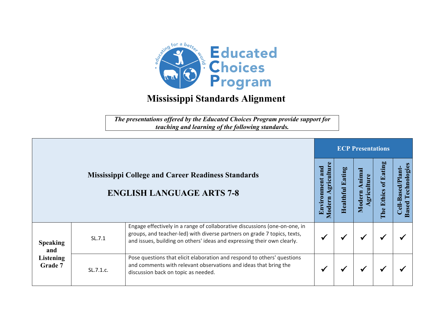

*The presentations offered by the Educated Choices Program provide support for teaching and learning of the following standards.*

|                                                                                               |           |                                                                                                                                                                                                                                   | <b>ECP Presentations</b> |                       |                                |                                                               |  |  |  |
|-----------------------------------------------------------------------------------------------|-----------|-----------------------------------------------------------------------------------------------------------------------------------------------------------------------------------------------------------------------------------|--------------------------|-----------------------|--------------------------------|---------------------------------------------------------------|--|--|--|
| <b>Mississippi College and Career Readiness Standards</b><br><b>ENGLISH LANGUAGE ARTS 7-8</b> |           | ulture<br>and<br><u>ici</u><br>Aodern<br>Envil                                                                                                                                                                                    | Ξ<br>ealthi              | nima<br>grig<br>Moder | Eating<br><b>Ethics</b><br>The | Technologie<br><b>Based/Plant</b><br>- 1<br><b>Based</b><br>킝 |  |  |  |
| <b>Speaking</b><br>and<br><b>Listening</b><br>Grade 7                                         | SL.7.1    | Engage effectively in a range of collaborative discussions (one-on-one, in<br>groups, and teacher-led) with diverse partners on grade 7 topics, texts,<br>and issues, building on others' ideas and expressing their own clearly. |                          |                       | $\blacktriangleright$          |                                                               |  |  |  |
|                                                                                               | SL.7.1.c. | Pose questions that elicit elaboration and respond to others' questions<br>and comments with relevant observations and ideas that bring the<br>discussion back on topic as needed.                                                |                          |                       | $\blacktriangleright$          |                                                               |  |  |  |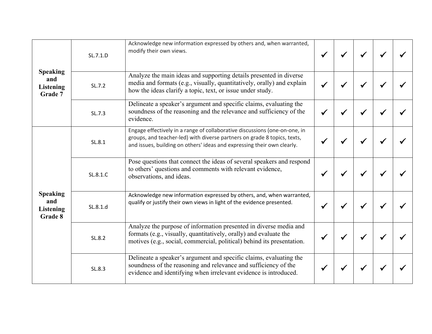| <b>Speaking</b><br>and<br><b>Listening</b><br>Grade 7 | SL.7.1.D | Acknowledge new information expressed by others and, when warranted,<br>modify their own views.                                                                                                                                   |  |  |  |
|-------------------------------------------------------|----------|-----------------------------------------------------------------------------------------------------------------------------------------------------------------------------------------------------------------------------------|--|--|--|
|                                                       | SL.7.2   | Analyze the main ideas and supporting details presented in diverse<br>media and formats (e.g., visually, quantitatively, orally) and explain<br>how the ideas clarify a topic, text, or issue under study.                        |  |  |  |
|                                                       | SL.7.3   | Delineate a speaker's argument and specific claims, evaluating the<br>soundness of the reasoning and the relevance and sufficiency of the<br>evidence.                                                                            |  |  |  |
| <b>Speaking</b><br>and<br><b>Listening</b><br>Grade 8 | SL.8.1   | Engage effectively in a range of collaborative discussions (one-on-one, in<br>groups, and teacher-led) with diverse partners on grade 8 topics, texts,<br>and issues, building on others' ideas and expressing their own clearly. |  |  |  |
|                                                       | SL.8.1.C | Pose questions that connect the ideas of several speakers and respond<br>to others' questions and comments with relevant evidence,<br>observations, and ideas.                                                                    |  |  |  |
|                                                       | SL.8.1.d | Acknowledge new information expressed by others, and, when warranted,<br>qualify or justify their own views in light of the evidence presented.                                                                                   |  |  |  |
|                                                       | SL.8.2   | Analyze the purpose of information presented in diverse media and<br>formats (e.g., visually, quantitatively, orally) and evaluate the<br>motives (e.g., social, commercial, political) behind its presentation.                  |  |  |  |
|                                                       | SL.8.3   | Delineate a speaker's argument and specific claims, evaluating the<br>soundness of the reasoning and relevance and sufficiency of the<br>evidence and identifying when irrelevant evidence is introduced.                         |  |  |  |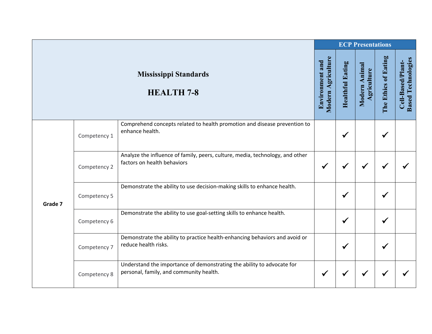|         |              |                                                                                                                   | <b>ECP Presentations</b>              |                         |                              |                      |                                                |  |  |
|---------|--------------|-------------------------------------------------------------------------------------------------------------------|---------------------------------------|-------------------------|------------------------------|----------------------|------------------------------------------------|--|--|
|         |              | <b>Mississippi Standards</b><br><b>HEALTH 7-8</b>                                                                 | Modern Agriculture<br>Environment and | <b>Healthful Eating</b> | Modern Animal<br>Agriculture | The Ethics of Eating | <b>Based Technologies</b><br>Cell-Based/Plant- |  |  |
| Grade 7 | Competency 1 | Comprehend concepts related to health promotion and disease prevention to<br>enhance health.                      |                                       | $\checkmark$            |                              | $\checkmark$         |                                                |  |  |
|         | Competency 2 | Analyze the influence of family, peers, culture, media, technology, and other<br>factors on health behaviors      | $\checkmark$                          | ✔                       |                              |                      |                                                |  |  |
|         | Competency 5 | Demonstrate the ability to use decision-making skills to enhance health.                                          |                                       | $\checkmark$            |                              | $\checkmark$         |                                                |  |  |
|         | Competency 6 | Demonstrate the ability to use goal-setting skills to enhance health.                                             |                                       | $\checkmark$            |                              | ✔                    |                                                |  |  |
|         | Competency 7 | Demonstrate the ability to practice health-enhancing behaviors and avoid or<br>reduce health risks.               |                                       | $\checkmark$            |                              |                      |                                                |  |  |
|         | Competency 8 | Understand the importance of demonstrating the ability to advocate for<br>personal, family, and community health. | ✔                                     | ✔                       |                              |                      |                                                |  |  |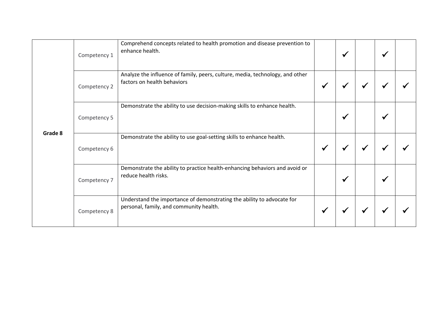| Grade 8 | Competency 1 | Comprehend concepts related to health promotion and disease prevention to<br>enhance health.                      |              | √ | ✔ |  |
|---------|--------------|-------------------------------------------------------------------------------------------------------------------|--------------|---|---|--|
|         | Competency 2 | Analyze the influence of family, peers, culture, media, technology, and other<br>factors on health behaviors      | $\checkmark$ | ₩ |   |  |
|         | Competency 5 | Demonstrate the ability to use decision-making skills to enhance health.                                          |              | ✔ | ✔ |  |
|         | Competency 6 | Demonstrate the ability to use goal-setting skills to enhance health.                                             | $\checkmark$ | ✔ |   |  |
|         | Competency 7 | Demonstrate the ability to practice health-enhancing behaviors and avoid or<br>reduce health risks.               |              | ✔ |   |  |
|         | Competency 8 | Understand the importance of demonstrating the ability to advocate for<br>personal, family, and community health. | ✔            |   |   |  |